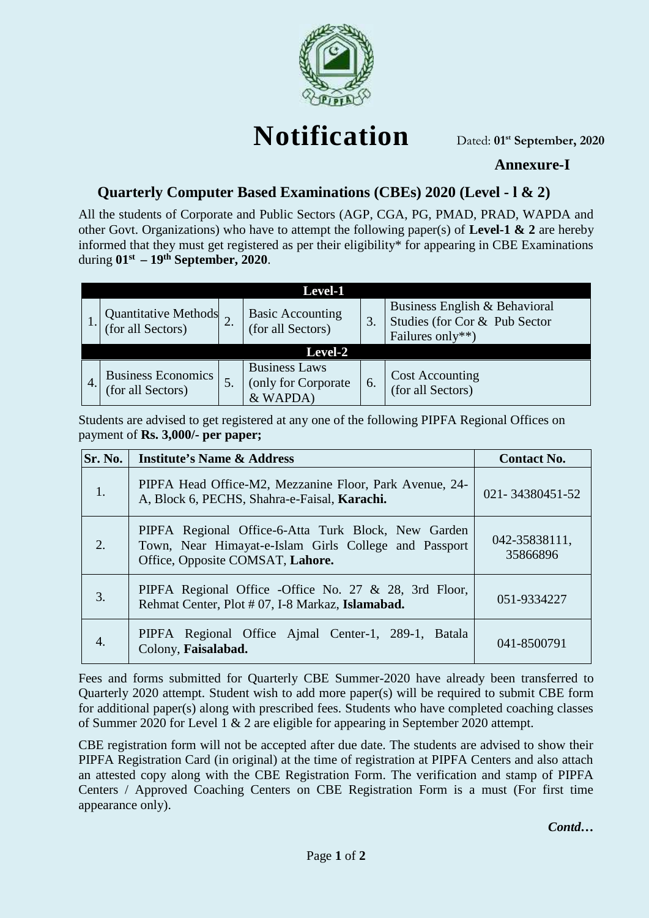

# **Notification**

Dated: **01st September, 2020**

## **Annexure-I**

# **Quarterly Computer Based Examinations (CBEs) 2020 (Level - l & 2)**

All the students of Corporate and Public Sectors (AGP, CGA, PG, PMAD, PRAD, WAPDA and other Govt. Organizations) who have to attempt the following paper(s) of **Level-1 & 2** are hereby informed that they must get registered as per their eligibility\* for appearing in CBE Examinations during **01st – 19th September, 2020**.

|    |                                                | Level-1                                                  |    |                                                                                    |
|----|------------------------------------------------|----------------------------------------------------------|----|------------------------------------------------------------------------------------|
|    | Quantitative Methods<br>(for all Sectors)      | <b>Basic Accounting</b><br>(for all Sectors)             | 3. | Business English & Behavioral<br>Studies (for Cor & Pub Sector<br>Failures only**) |
|    |                                                | <b>Level-2</b>                                           |    |                                                                                    |
| 4. | <b>Business Economics</b><br>(for all Sectors) | <b>Business Laws</b><br>(only for Corporate)<br>& WAPDA) | 6. | <b>Cost Accounting</b><br>(for all Sectors)                                        |

Students are advised to get registered at any one of the following PIPFA Regional Offices on payment of **Rs. 3,000/- per paper;**

| Sr. No. | <b>Institute's Name &amp; Address</b>                                                                                                            | <b>Contact No.</b>        |
|---------|--------------------------------------------------------------------------------------------------------------------------------------------------|---------------------------|
| 1.      | PIPFA Head Office-M2, Mezzanine Floor, Park Avenue, 24-<br>A, Block 6, PECHS, Shahra-e-Faisal, Karachi.                                          | 021-34380451-52           |
| 2.      | PIPFA Regional Office-6-Atta Turk Block, New Garden<br>Town, Near Himayat-e-Islam Girls College and Passport<br>Office, Opposite COMSAT, Lahore. | 042-35838111,<br>35866896 |
| 3.      | PIPFA Regional Office -Office No. 27 $\&$ 28, 3rd Floor,<br>Rehmat Center, Plot #07, I-8 Markaz, Islamabad.                                      | 051-9334227               |
| 4.      | PIPFA Regional Office Ajmal Center-1, 289-1, Batala<br>Colony, Faisalabad.                                                                       | 041-8500791               |

Fees and forms submitted for Quarterly CBE Summer-2020 have already been transferred to Quarterly 2020 attempt. Student wish to add more paper(s) will be required to submit CBE form for additional paper(s) along with prescribed fees. Students who have completed coaching classes of Summer 2020 for Level 1 & 2 are eligible for appearing in September 2020 attempt.

CBE registration form will not be accepted after due date. The students are advised to show their PIPFA Registration Card (in original) at the time of registration at PIPFA Centers and also attach an attested copy along with the CBE Registration Form. The verification and stamp of PIPFA Centers / Approved Coaching Centers on CBE Registration Form is a must (For first time appearance only).